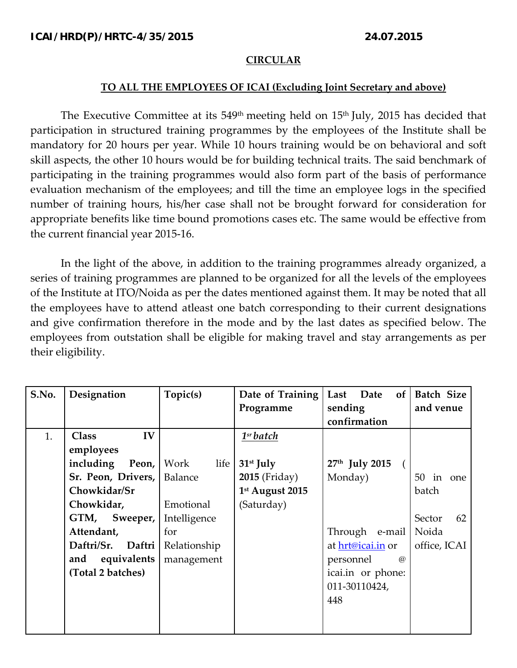## **CIRCULAR**

## **TO ALL THE EMPLOYEES OF ICAI (Excluding Joint Secretary and above)**

The Executive Committee at its 549<sup>th</sup> meeting held on 15<sup>th</sup> July, 2015 has decided that participation in structured training programmes by the employees of the Institute shall be mandatory for 20 hours per year. While 10 hours training would be on behavioral and soft skill aspects, the other 10 hours would be for building technical traits. The said benchmark of participating in the training programmes would also form part of the basis of performance evaluation mechanism of the employees; and till the time an employee logs in the specified number of training hours, his/her case shall not be brought forward for consideration for appropriate benefits like time bound promotions cases etc. The same would be effective from the current financial year 2015‐16.

In the light of the above, in addition to the training programmes already organized, a series of training programmes are planned to be organized for all the levels of the employees of the Institute at ITO/Noida as per the dates mentioned against them. It may be noted that all the employees have to attend atleast one batch corresponding to their current designations and give confirmation therefore in the mode and by the last dates as specified below. The employees from outstation shall be eligible for making travel and stay arrangements as per their eligibility.

| S.No. | Designation          | Topic(s)       | Date of Training      | of <sub>l</sub><br>Last<br>Date | Batch Size   |
|-------|----------------------|----------------|-----------------------|---------------------------------|--------------|
|       |                      |                | Programme             | sending                         | and venue    |
|       |                      |                |                       | confirmation                    |              |
| 1.    | IV<br>Class          |                | 1 <sup>sr</sup> batch |                                 |              |
|       | employees            |                |                       |                                 |              |
|       | including<br>Peon,   | life  <br>Work | $31st$ July           | 27th July 2015                  |              |
|       | Sr. Peon, Drivers,   | Balance        | <b>2015</b> (Friday)  | Monday)                         | 50<br>in one |
|       | Chowkidar/Sr         |                | 1st August 2015       |                                 | batch        |
|       | Chowkidar,           | Emotional      | (Saturday)            |                                 |              |
|       | GTM,<br>Sweeper,     | Intelligence   |                       |                                 | Sector<br>62 |
|       | Attendant,           | for            |                       | Through e-mail                  | Noida        |
|       | Daftri/Sr.<br>Daftri | Relationship   |                       | at hrt@icai.in or               | office, ICAI |
|       | equivalents<br>and   | management     |                       | personnel<br>$\omega$           |              |
|       | (Total 2 batches)    |                |                       | icai.in or phone:               |              |
|       |                      |                |                       | 011-30110424,                   |              |
|       |                      |                |                       | 448                             |              |
|       |                      |                |                       |                                 |              |
|       |                      |                |                       |                                 |              |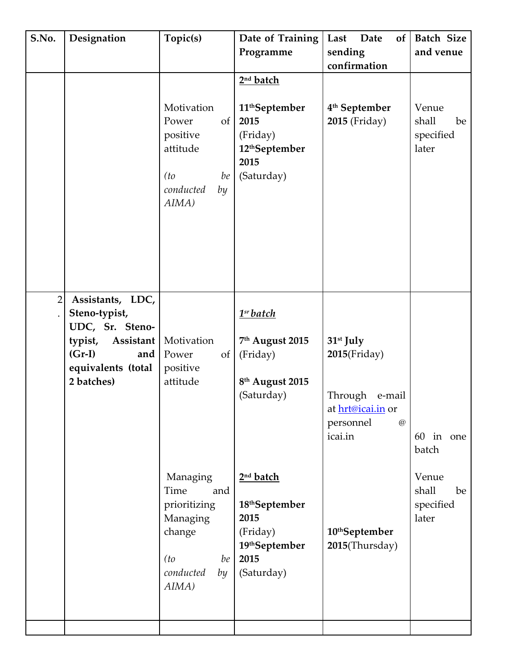| S.No.          | Designation                                                                                                                      | Topic(s)<br>Motivation<br>Power<br>of<br>positive                                                                    | Date of Training<br>Programme<br>2 <sup>nd</sup> batch<br>11 <sup>th</sup> September<br>2015<br>(Friday) | Last<br>Date<br>of<br>sending<br>confirmation<br>4 <sup>th</sup> September<br><b>2015</b> (Friday)                              | Batch Size<br>and venue<br>Venue<br>shall<br>be<br>specified |
|----------------|----------------------------------------------------------------------------------------------------------------------------------|----------------------------------------------------------------------------------------------------------------------|----------------------------------------------------------------------------------------------------------|---------------------------------------------------------------------------------------------------------------------------------|--------------------------------------------------------------|
|                |                                                                                                                                  | attitude<br>(t <sub>0</sub> )<br>be<br>conducted<br>by<br>AIMA)                                                      | 12 <sup>th</sup> September<br>2015<br>(Saturday)                                                         |                                                                                                                                 | later                                                        |
| $\overline{2}$ | Assistants, LDC,<br>Steno-typist,<br>UDC, Sr. Steno-<br>typist, Assistant<br>$(Gr-I)$<br>and<br>equivalents (total<br>2 batches) | Motivation<br>Power<br>of<br>positive<br>attitude                                                                    | 1 <sup>sr</sup> batch<br>7th August 2015<br>(Friday)<br>8 <sup>th</sup> August 2015<br>(Saturday)        | 31 <sup>st</sup> July<br>$2015$ (Friday)<br>Through e-mail<br>at hrt@icai.in or<br>personnel<br>$^{\textregistered}$<br>icai.in | 60 in one<br>batch                                           |
|                |                                                                                                                                  | Managing<br>Time<br>and<br>prioritizing<br>Managing<br>change<br>be<br>(t <sub>0</sub> )<br>conducted<br>by<br>AIMA) | 2 <sup>nd</sup> batch<br>18thSeptember<br>2015<br>(Friday)<br>19thSeptember<br>2015<br>(Saturday)        | 10 <sup>th</sup> September<br>2015(Thursday)                                                                                    | Venue<br>shall<br>be<br>specified<br>later                   |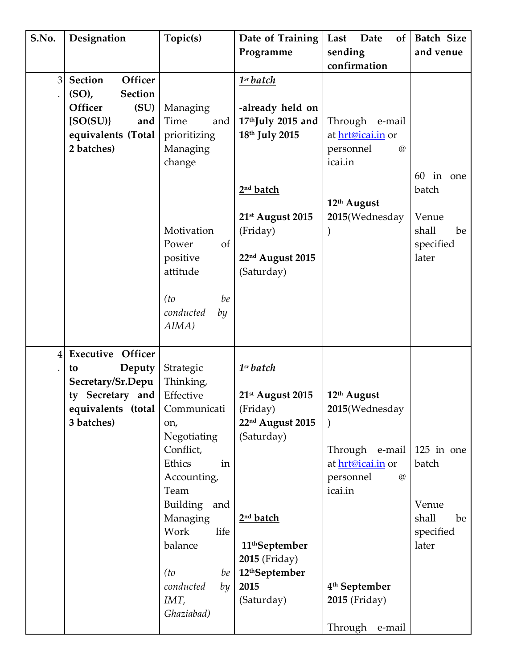| S.No. | Designation                                                                                                                | Topic(s)                                                                                                                                                                                                                                                             | Date of Training                                                                                                                                                                                                                            | Last<br>Date<br>of                                                                                                                                                          | <b>Batch Size</b>                                                   |
|-------|----------------------------------------------------------------------------------------------------------------------------|----------------------------------------------------------------------------------------------------------------------------------------------------------------------------------------------------------------------------------------------------------------------|---------------------------------------------------------------------------------------------------------------------------------------------------------------------------------------------------------------------------------------------|-----------------------------------------------------------------------------------------------------------------------------------------------------------------------------|---------------------------------------------------------------------|
|       |                                                                                                                            |                                                                                                                                                                                                                                                                      | Programme                                                                                                                                                                                                                                   | sending                                                                                                                                                                     | and venue                                                           |
|       |                                                                                                                            |                                                                                                                                                                                                                                                                      |                                                                                                                                                                                                                                             | confirmation                                                                                                                                                                |                                                                     |
| 3     | Section<br>Officer<br><b>Section</b><br>$(SO)$ ,<br>Officer<br>(SU)<br>[SO(SU)]<br>and<br>equivalents (Total<br>2 batches) | Managing<br>Time<br>and<br>prioritizing<br>Managing<br>change<br>Motivation<br>Power<br><sub>of</sub><br>positive<br>attitude<br>be<br>(t <sub>0</sub> )<br>conducted<br>by<br>AIMA)                                                                                 | 1 <sup>sr</sup> batch<br>-already held on<br>17thJuly 2015 and<br>18th July 2015<br>2 <sup>nd</sup> batch<br>21 <sup>st</sup> August 2015<br>(Friday)<br>22 <sup>nd</sup> August 2015<br>(Saturday)                                         | Through e-mail<br>at hrt@icai.in or<br>personnel<br>$\circledR$<br>icai.in<br>12th August<br>2015(Wednesday                                                                 | in one<br>60<br>batch<br>Venue<br>shall<br>be<br>specified<br>later |
| 4     | <b>Executive Officer</b><br>Deputy<br>to<br>Secretary/Sr.Depu<br>ty Secretary and<br>equivalents (total  <br>3 batches)    | Strategic<br>Thinking,<br>Effective<br>Communicati<br>on,<br>Negotiating<br>Conflict,<br>Ethics<br>in<br>Accounting,<br>Team<br><b>Building</b><br>and<br>Managing<br>Work<br>life<br>balance<br>be<br>(t <sub>0</sub> )<br>conducted<br>by<br>$IMT$ ,<br>Ghaziabad) | 1 <sup>sr</sup> batch<br>21 <sup>st</sup> August 2015<br>(Friday)<br>22 <sup>nd</sup> August 2015<br>(Saturday)<br>2 <sup>nd</sup> batch<br>11 <sup>th</sup> September<br>2015 (Friday)<br>12 <sup>th</sup> September<br>2015<br>(Saturday) | 12th August<br>2015(Wednesday<br>Through e-mail<br>at hrt@icai.in or<br>personnel<br>$\circledR$<br>icai.in<br>4 <sup>th</sup> September<br>2015 (Friday)<br>Through e-mail | 125 in one<br>batch<br>Venue<br>shall<br>be<br>specified<br>later   |